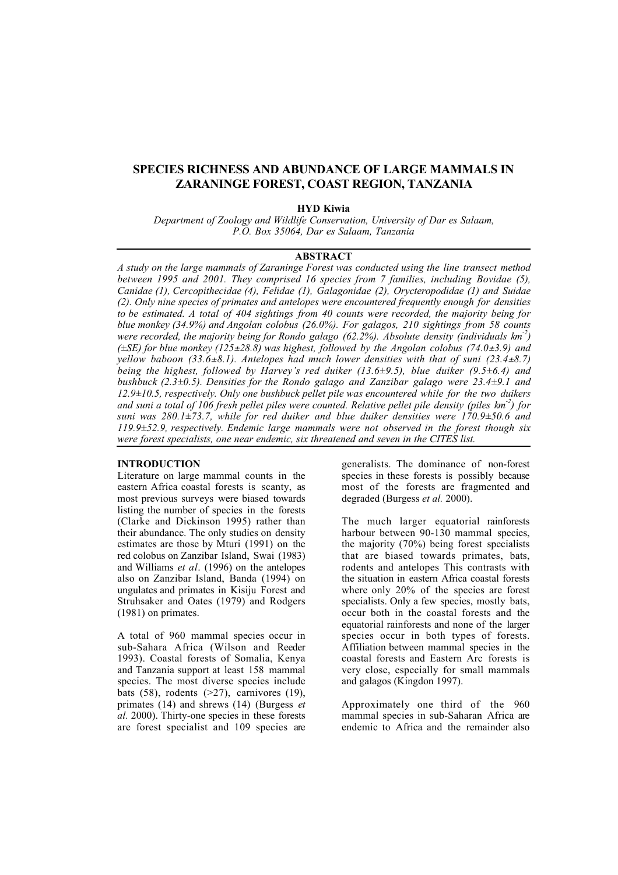# SPECIES RICHNESS AND ABUNDANCE OF LARGE MAMMALS IN ZARANINGE FOREST, COAST REGION, TANZANIA

## HYD Kiwia

*Department of Zoology and Wildlife Conservation, University of Dar es Salaam, P.O. Box 35064, Dar es Salaam, Tanzania*

# ABSTRACT

*A study on the large mammals of Zaraninge Forest was conducted using the line transect method between 1995 and 2001. They comprised 16 species from 7 families, including Bovidae (5), Canidae (1), Cercopithecidae (4), Felidae (1), Galagonidae (2), Orycteropodidae (1) and Suidae (2). Only nine species of primates and antelopes were encountered frequently enough for densities to be estimated. A total of 404 sightings from 40 counts were recorded, the majority being for blue monkey (34.9%) and Angolan colobus (26.0%). For galagos, 210 sightings from 58 counts were recorded, the majority being for Rondo galago (62.2%). Absolute density (individuals km-2) (±SE) for blue monkey (125*±*28.8) was highest, followed by the Angolan colobus (74.0*±*3.9) and yellow baboon (33.6*±*8.1). Antelopes had much lower densities with that of suni (23.4*±*8.7) being the highest, followed by Harvey's red duiker (13.6±9.5), blue duiker (9.5±6.4) and bushbuck (2.3±0.5). Densities for the Rondo galago and Zanzibar galago were 23.4±9.1 and 12.9±10.5, respectively. Only one bushbuck pellet pile was encountered while for the two duikers and suni a total of 106 fresh pellet piles were counted. Relative pellet pile density (piles km-2) for suni was 280.1±73.7, while for red duiker and blue duiker densities were 170.9±50.6 and 119.9±52.9, respectively. Endemic large mammals were not observed in the forest though six were forest specialists, one near endemic, six threatened and seven in the CITES list.*

# INTRODUCTION

Literature on large mammal counts in the eastern Africa coastal forests is scanty, as most previous surveys were biased towards listing the number of species in the forests (Clarke and Dickinson 1995) rather than their abundance. The only studies on density estimates are those by Mturi (1991) on the red colobus on Zanzibar Island, Swai (1983) and Williams *et al*. (1996) on the antelopes also on Zanzibar Island, Banda (1994) on ungulates and primates in Kisiju Forest and Struhsaker and Oates (1979) and Rodgers (1981) on primates.

A total of 960 mammal species occur in sub-Sahara Africa (Wilson and Reeder 1993). Coastal forests of Somalia, Kenya and Tanzania support at least 158 mammal species. The most diverse species include bats  $(58)$ , rodents  $(27)$ , carnivores  $(19)$ , primates (14) and shrews (14) (Burgess *et al.* 2000). Thirty-one species in these forests are forest specialist and 109 species are generalists. The dominance of non-forest species in these forests is possibly because most of the forests are fragmented and degraded (Burgess *et al.* 2000).

The much larger equatorial rainforests harbour between 90-130 mammal species, the majority (70%) being forest specialists that are biased towards primates, bats, rodents and antelopes This contrasts with the situation in eastern Africa coastal forests where only 20% of the species are forest specialists. Only a few species, mostly bats, occur both in the coastal forests and the equatorial rainforests and none of the larger species occur in both types of forests. Affiliation between mammal species in the coastal forests and Eastern Arc forests is very close, especially for small mammals and galagos (Kingdon 1997).

Approximately one third of the 960 mammal species in sub-Saharan Africa are endemic to Africa and the remainder also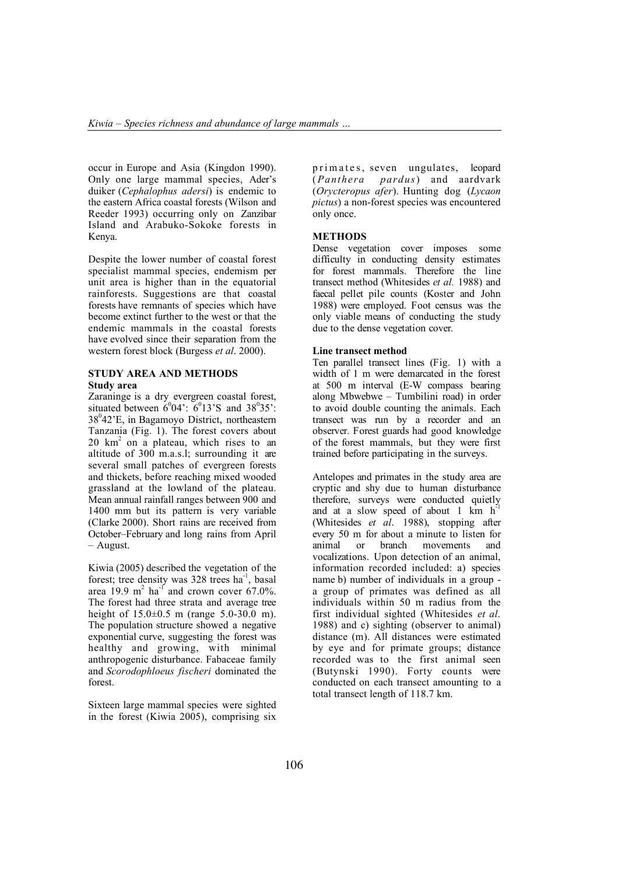occur in Europe and Asia (Kingdon 1990). Only one large mammal species, Ader's duiker (*Cephalophus adersi*) is endemic to the eastern Africa coastal forests (Wilson and Reeder 1993) occurring only on Zanzibar Island and Arabuko-Sokoke forests in Kenya.

Despite the lower number of coastal forest specialist mammal species, endemism per unit area is higher than in the equatorial rainforests. Suggestions are that coastal forests have remnants of species which have become extinct further to the west or that the endemic mammals in the coastal forests have evolved since their separation from the western forest block (Burgess *et al*. 2000).

## STUDY AREA AND METHODS Study area

Zaraninge is a dry evergreen coastal forest, situated between  $6^004$ :  $6^013$ 'S and  $38^035$ . 38<sup>0</sup>42'E, in Bagamoyo District, northeastern Tanzania (Fig. 1). The forest covers about  $20 \text{ km}^2$  on a plateau, which rises to an altitude of 300 m.a.s.l; surrounding it are several small patches of evergreen forests and thickets, before reaching mixed wooded grassland at the lowland of the plateau. Mean annual rainfall ranges between 900 and 1400 mm but its pattern is very variable (Clarke 2000). Short rains are received from October–February and long rains from April – August.

Kiwia (2005) described the vegetation of the forest; tree density was 328 trees ha<sup>-1</sup>, basal area 19.9 m<sup>2</sup> ha<sup>-1</sup> and crown cover 67.0%. The forest had three strata and average tree height of  $15.0 \pm 0.5$  m (range  $5.0 \pm 30.0$  m). The population structure showed a negative exponential curve, suggesting the forest was healthy and growing, with minimal anthropogenic disturbance. Fabaceae family and *Scorodophloeus fischeri* dominated the forest.

Sixteen large mammal species were sighted in the forest (Kiwia 2005), comprising six

primates, seven ungulates, leopard (*Panthera pardus*) and aardvark (*Orycteropus afer*). Hunting dog (*Lycaon pictus*) a non-forest species was encountered only once.

## **METHODS**

Dense vegetation cover imposes some difficulty in conducting density estimates for forest mammals. Therefore the line transect method (Whitesides *et al.* 1988) and faecal pellet pile counts (Koster and John 1988) were employed. Foot census was the only viable means of conducting the study due to the dense vegetation cover.

## Line transect method

Ten parallel transect lines (Fig. 1) with a width of 1 m were demarcated in the forest at 500 m interval (E-W compass bearing along Mbwebwe – Tumbilini road) in order to avoid double counting the animals. Each transect was run by a recorder and an observer. Forest guards had good knowledge of the forest mammals, but they were first trained before participating in the surveys.

Antelopes and primates in the study area are cryptic and shy due to human disturbance therefore, surveys were conducted quietly and at a slow speed of about 1 km  $h^{-1}$ (Whitesides *et al*. 1988), stopping after every 50 m for about a minute to listen for animal or branch movements and vocalizations. Upon detection of an animal, information recorded included: a) species name b) number of individuals in a group a group of primates was defined as all individuals within 50 m radius from the first individual sighted (Whitesides *et al*. 1988) and c) sighting (observer to animal) distance (m). All distances were estimated by eye and for primate groups; distance recorded was to the first animal seen (Butynski 1990). Forty counts were conducted on each transect amounting to a total transect length of 118.7 km.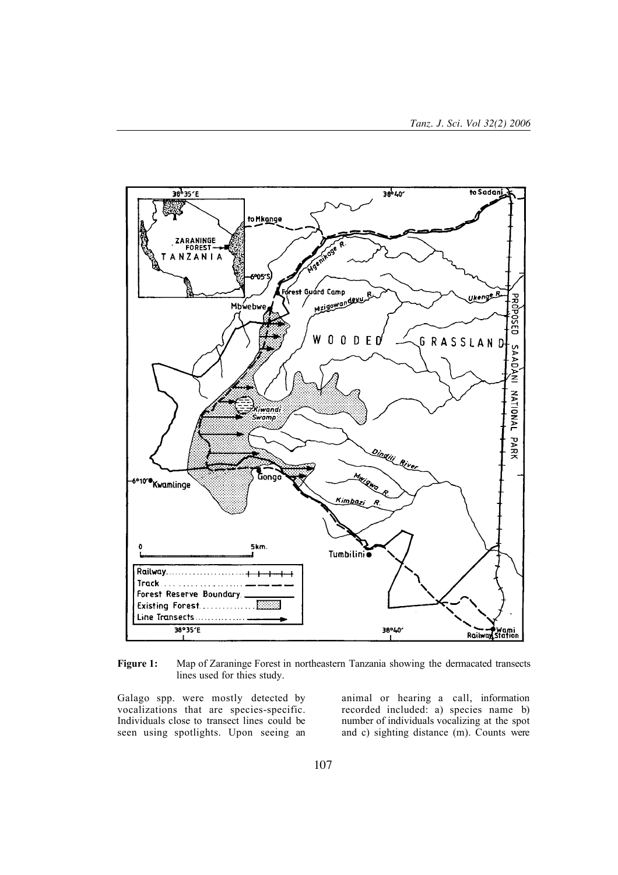

Figure 1: Map of Zaraninge Forest in northeastern Tanzania showing the dermacated transects lines used for thies study.

Galago spp. were mostly detected by vocalizations that are species-specific. Individuals close to transect lines could be seen using spotlights. Upon seeing an

animal or hearing a call, information recorded included: a) species name b) number of individuals vocalizing at the spot and c) sighting distance (m). Counts were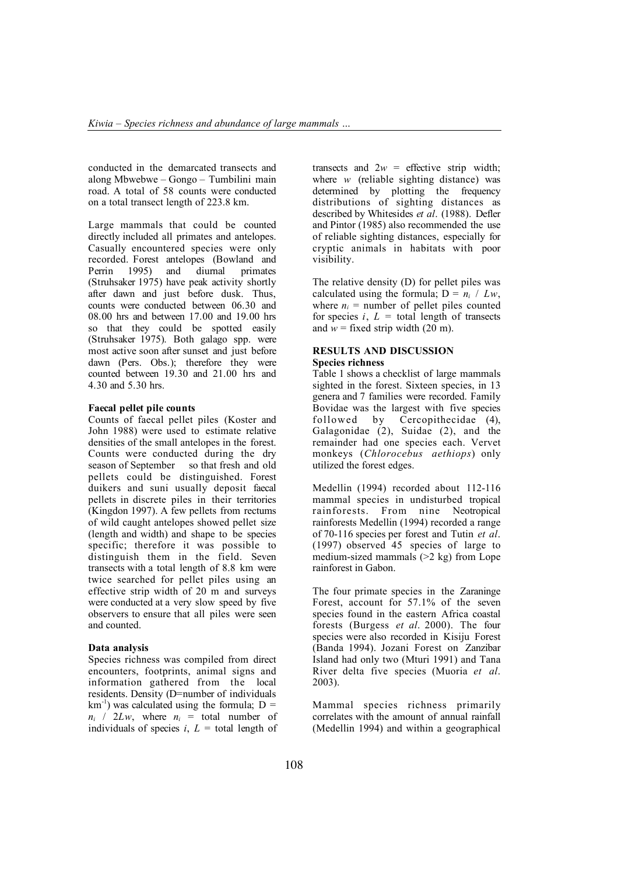conducted in the demarcated transects and along Mbwebwe – Gongo – Tumbilini main road. A total of 58 counts were conducted on a total transect length of 223.8 km.

Large mammals that could be counted directly included all primates and antelopes. Casually encountered species were only recorded. Forest antelopes (Bowland and Perrin 1995) and diurnal primates (Struhsaker 1975) have peak activity shortly after dawn and just before dusk. Thus, counts were conducted between 06.30 and 08.00 hrs and between 17.00 and 19.00 hrs so that they could be spotted easily (Struhsaker 1975). Both galago spp. were most active soon after sunset and just before dawn (Pers. Obs.); therefore they were counted between 19.30 and 21.00 hrs and 4.30 and 5.30 hrs.

#### Faecal pellet pile counts

Counts of faecal pellet piles (Koster and John 1988) were used to estimate relative densities of the small antelopes in the forest. Counts were conducted during the dry season of September so that fresh and old pellets could be distinguished. Forest duikers and suni usually deposit faecal pellets in discrete piles in their territories (Kingdon 1997). A few pellets from rectums of wild caught antelopes showed pellet size (length and width) and shape to be species specific; therefore it was possible to distinguish them in the field. Seven transects with a total length of 8.8 km were twice searched for pellet piles using an effective strip width of 20 m and surveys were conducted at a very slow speed by five observers to ensure that all piles were seen and counted.

## Data analysis

Species richness was compiled from direct encounters, footprints, animal signs and information gathered from the local residents. Density (D=number of individuals  $km^{-1}$ ) was calculated using the formula; D =  $n_i$  / 2*Lw*, where  $n_i$  = total number of individuals of species  $i, L =$  total length of transects and  $2w =$  effective strip width; where *w* (reliable sighting distance) was determined by plotting the frequency distributions of sighting distances as described by Whitesides *et al*. (1988). Defler and Pintor (1985) also recommended the use of reliable sighting distances, especially for cryptic animals in habitats with poor visibility.

The relative density (D) for pellet piles was calculated using the formula;  $D = n_i / Lw$ , where  $n_i$  = number of pellet piles counted for species  $i, L =$  total length of transects and  $w =$  fixed strip width (20 m).

## RESULTS AND DISCUSSION Species richness

Table 1 shows a checklist of large mammals sighted in the forest. Sixteen species, in 13 genera and 7 families were recorded. Family Bovidae was the largest with five species followed by Cercopithecidae (4), Galagonidae  $(2)$ , Suidae  $(2)$ , and the remainder had one species each. Vervet monkeys (*Chlorocebus aethiops*) only utilized the forest edges.

Medellin (1994) recorded about 112-116 mammal species in undisturbed tropical rainforests. From nine Neotropical rainforests Medellin (1994) recorded a range of 70-116 species per forest and Tutin *et al*. (1997) observed 45 species of large to medium-sized mammals  $(>2 \text{ kg})$  from Lope rainforest in Gabon.

The four primate species in the Zaraninge Forest, account for 57.1% of the seven species found in the eastern Africa coastal forests (Burgess *et al*. 2000). The four species were also recorded in Kisiju Forest (Banda 1994). Jozani Forest on Zanzibar Island had only two (Mturi 1991) and Tana River delta five species (Muoria *et al*. 2003).

Mammal species richness primarily correlates with the amount of annual rainfall (Medellin 1994) and within a geographical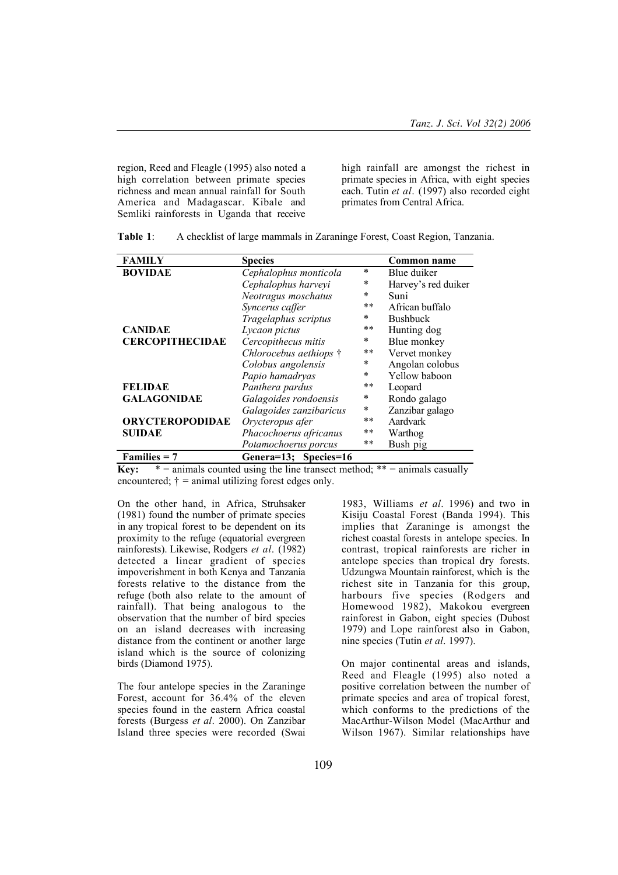region, Reed and Fleagle (1995) also noted a high correlation between primate species richness and mean annual rainfall for South America and Madagascar. Kibale and Semliki rainforests in Uganda that receive high rainfall are amongst the richest in primate species in Africa, with eight species each. Tutin *et al*. (1997) also recorded eight primates from Central Africa.

| <b>FAMILY</b>          | <b>Species</b>                 |         | Common name         |
|------------------------|--------------------------------|---------|---------------------|
| <b>BOVIDAE</b>         | Cephalophus monticola          | $\star$ | Blue duiker         |
|                        | Cephalophus harveyi            | *       | Harvey's red duiker |
|                        | Neotragus moschatus            | $\ast$  | Suni                |
|                        | Syncerus caffer                | $***$   | African buffalo     |
|                        | Tragelaphus scriptus           | $\ast$  | <b>Bushbuck</b>     |
| <b>CANIDAE</b>         | Lycaon pictus                  | $**$    | Hunting dog         |
| <b>CERCOPITHECIDAE</b> | Cercopithecus mitis            | $\ast$  | Blue monkey         |
|                        | Chlorocebus aethiops $\dagger$ | $***$   | Vervet monkey       |
|                        | Colobus angolensis             | $\ast$  | Angolan colobus     |
|                        | Papio hamadryas                | $\star$ | Yellow baboon       |
| <b>FELIDAE</b>         | Panthera pardus                | $***$   | Leopard             |
| <b>GALAGONIDAE</b>     | Galagoides rondoensis          | $\ast$  | Rondo galago        |
|                        | Galagoides zanzibaricus        | $\ast$  | Zanzibar galago     |
| <b>ORYCTEROPODIDAE</b> | Orycteropus afer               | $**$    | Aardvark            |
| SUIDAE                 | Phacochoerus africanus         | $**$    | Warthog             |
|                        | Potamochoerus porcus           | $**$    | Bush pig            |
| $Families = 7$         | Genera=13; Species=16          |         |                     |

Table 1: A checklist of large mammals in Zaraninge Forest, Coast Region, Tanzania.

**Key:**  $* =$  animals counted using the line transect method;  $** =$  animals casually encountered;  $\dot{\tau}$  = animal utilizing forest edges only.

On the other hand, in Africa, Struhsaker (1981) found the number of primate species in any tropical forest to be dependent on its proximity to the refuge (equatorial evergreen rainforests). Likewise, Rodgers *et al*. (1982) detected a linear gradient of species impoverishment in both Kenya and Tanzania forests relative to the distance from the refuge (both also relate to the amount of rainfall). That being analogous to the observation that the number of bird species on an island decreases with increasing distance from the continent or another large island which is the source of colonizing birds (Diamond 1975).

The four antelope species in the Zaraninge Forest, account for 36.4% of the eleven species found in the eastern Africa coastal forests (Burgess *et al*. 2000). On Zanzibar Island three species were recorded (Swai

1983, Williams *et al*. 1996) and two in Kisiju Coastal Forest (Banda 1994). This implies that Zaraninge is amongst the richest coastal forests in antelope species. In contrast, tropical rainforests are richer in antelope species than tropical dry forests. Udzungwa Mountain rainforest, which is the richest site in Tanzania for this group, harbours five species (Rodgers and Homewood 1982), Makokou evergreen rainforest in Gabon, eight species (Dubost 1979) and Lope rainforest also in Gabon, nine species (Tutin *et al*. 1997).

On major continental areas and islands, Reed and Fleagle (1995) also noted a positive correlation between the number of primate species and area of tropical forest, which conforms to the predictions of the MacArthur-Wilson Model (MacArthur and Wilson 1967). Similar relationships have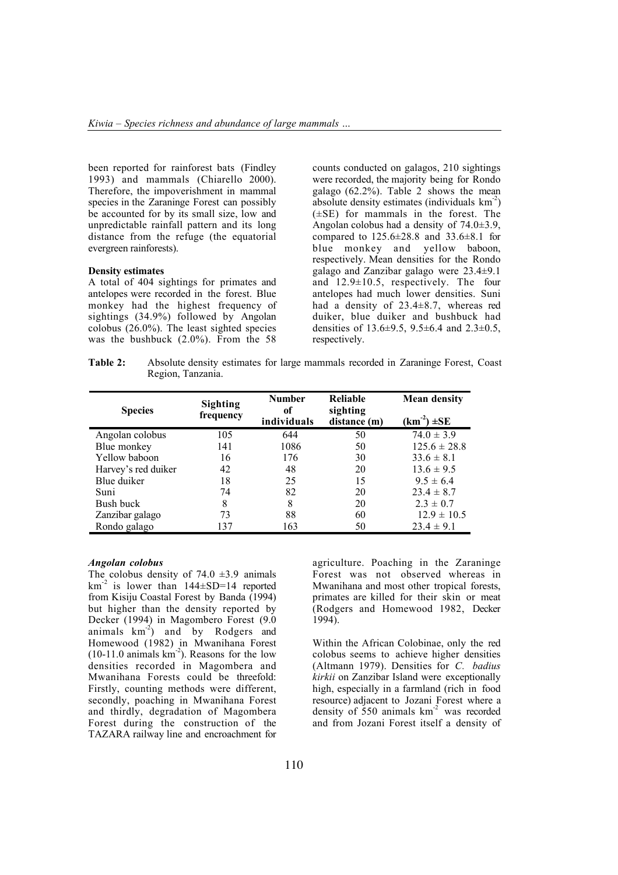been reported for rainforest bats (Findley 1993) and mammals (Chiarello 2000). Therefore, the impoverishment in mammal species in the Zaraninge Forest can possibly be accounted for by its small size, low and unpredictable rainfall pattern and its long distance from the refuge (the equatorial evergreen rainforests).

## Density estimates

A total of 404 sightings for primates and antelopes were recorded in the forest. Blue monkey had the highest frequency of sightings (34.9%) followed by Angolan colobus (26.0%). The least sighted species was the bushbuck (2.0%). From the 58

counts conducted on galagos, 210 sightings were recorded, the majority being for Rondo galago  $(62.2\%)$ . Table 2 shows the mean absolute density estimates (individuals  $km<sup>-2</sup>$ ) (±SE) for mammals in the forest. The Angolan colobus had a density of 74.0±3.9, compared to 125.6±28.8 and 33.6±8.1 for blue monkey and yellow baboon, respectively. Mean densities for the Rondo galago and Zanzibar galago were 23.4±9.1 and 12.9±10.5, respectively. The four antelopes had much lower densities. Suni had a density of 23.4±8.7, whereas red duiker, blue duiker and bushbuck had densities of 13.6±9.5, 9.5±6.4 and 2.3±0.5, respectively.

Table 2: Absolute density estimates for large mammals recorded in Zaraninge Forest, Coast Region, Tanzania.

| <b>Species</b>      | <b>Sighting</b><br>frequency | <b>Number</b><br>of<br>individuals | Reliable<br>sighting<br>distance (m) | <b>Mean density</b><br>$(km^2) \pm SE$ |
|---------------------|------------------------------|------------------------------------|--------------------------------------|----------------------------------------|
| Angolan colobus     | 105                          | 644                                | 50                                   | $74.0 \pm 3.9$                         |
| Blue monkey         | 141                          | 1086                               | 50                                   | $125.6 \pm 28.8$                       |
| Yellow baboon       | 16                           | 176                                | 30                                   | $33.6 \pm 8.1$                         |
| Harvey's red duiker | 42                           | 48                                 | 20                                   | $13.6 \pm 9.5$                         |
| Blue duiker         | 18                           | 25                                 | 15                                   | $9.5 \pm 6.4$                          |
| Suni                | 74                           | 82                                 | 20                                   | $23.4 \pm 8.7$                         |
| Bush buck           | 8                            | 8                                  | 20                                   | $2.3 \pm 0.7$                          |
| Zanzibar galago     | 73                           | 88                                 | 60                                   | $12.9 \pm 10.5$                        |
| Rondo galago        | 137                          | 163                                | 50                                   | $23.4 \pm 9.1$                         |

#### *Angolan colobus*

The colobus density of  $74.0 \pm 3.9$  animals  $km^{-2}$  is lower than  $144 \pm SD = 14$  reported from Kisiju Coastal Forest by Banda (1994) but higher than the density reported by Decker (1994) in Magombero Forest (9.0 animals  $km<sup>-2</sup>$  and by Rodgers and Homewood (1982) in Mwanihana Forest  $(10-11.0 \text{ animals km}^2)$ . Reasons for the low densities recorded in Magombera and Mwanihana Forests could be threefold: Firstly, counting methods were different, secondly, poaching in Mwanihana Forest and thirdly, degradation of Magombera Forest during the construction of the TAZARA railway line and encroachment for

agriculture. Poaching in the Zaraninge Forest was not observed whereas in Mwanihana and most other tropical forests, primates are killed for their skin or meat (Rodgers and Homewood 1982, Decker 1994).

Within the African Colobinae, only the red colobus seems to achieve higher densities (Altmann 1979). Densities for *C. badius kirkii* on Zanzibar Island were exceptionally high, especially in a farmland (rich in food resource) adjacent to Jozani Forest where a density of  $550$  animals  $km<sup>2</sup>$  was recorded and from Jozani Forest itself a density of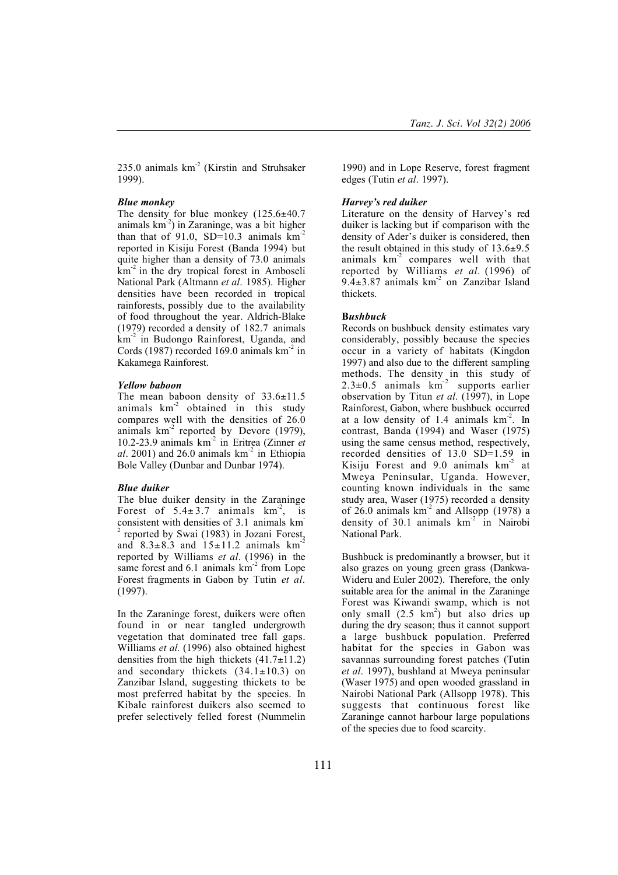235.0 animals km<sup>-2</sup> (Kirstin and Struhsaker 1999).

## *Blue monkey*

The density for blue monkey  $(125.6\pm40.7)$ animals  $km<sup>2</sup>$ ) in Zaraninge, was a bit higher than that of  $91.0$ , SD=10.3 animals  $km<sup>2</sup>$ reported in Kisiju Forest (Banda 1994) but quite higher than a density of 73.0 animals  $km<sup>-2</sup>$  in the dry tropical forest in Amboseli National Park (Altmann *et al*. 1985). Higher densities have been recorded in tropical rainforests, possibly due to the availability of food throughout the year. Aldrich-Blake (1979) recorded a density of 182.7 animals km-2 in Budongo Rainforest, Uganda, and Cords (1987) recorded 169.0 animals  $km<sup>-2</sup>$  in Kakamega Rainforest.

## *Yellow baboon*

The mean baboon density of  $33.6 \pm 11.5$ animals  $km<sup>2</sup>$  obtained in this study compares well with the densities of 26.0 animals  $km^2$  reported by Devore (1979), 10.2-23.9 animals km-2 in Eritrea (Zinner *et al*. 2001) and 26.0 animals  $km<sup>2</sup>$  in Ethiopia Bole Valley (Dunbar and Dunbar 1974).

## *Blue duiker*

The blue duiker density in the Zaraninge Forest of  $5.4 \pm 3.7$  animals  $km^2$ , is consistent with densities of 3.1 animals km-<sup>2</sup> reported by Swai (1983) in Jozani Forest, and  $8.3\pm8.3$  and  $15\pm11.2$  animals  $km<sup>-2</sup>$ reported by Williams *et al*. (1996) in the same forest and  $6.1$  animals  $km<sup>-2</sup>$  from Lope Forest fragments in Gabon by Tutin *et al*. (1997).

In the Zaraninge forest, duikers were often found in or near tangled undergrowth vegetation that dominated tree fall gaps. Williams *et al.* (1996) also obtained highest densities from the high thickets  $(41.7\pm11.2)$ and secondary thickets  $(34.1 \pm 10.3)$  on Zanzibar Island, suggesting thickets to be most preferred habitat by the species. In Kibale rainforest duikers also seemed to prefer selectively felled forest (Nummelin

1990) and in Lope Reserve, forest fragment edges (Tutin *et al*. 1997).

## *Harvey's red duiker*

Literature on the density of Harvey's red duiker is lacking but if comparison with the density of Ader's duiker is considered, then the result obtained in this study of  $13.6\pm9.5$ animals  $km<sup>2</sup>$  compares well with that reported by Williams *et al*. (1996) of 9.4 $\pm$ 3.87 animals km<sup>-2</sup> on Zanzibar Island thickets.

## B*ushbuck*

Records on bushbuck density estimates vary considerably, possibly because the species occur in a variety of habitats (Kingdon 1997) and also due to the different sampling methods. The density in this study of  $2.3\pm0.5$  animals km<sup>-2</sup> supports earlier observation by Titun *et al*. (1997), in Lope Rainforest, Gabon, where bushbuck occurred at a low density of 1.4 animals  $km<sup>2</sup>$ . In contrast, Banda (1994) and Waser (1975) using the same census method, respectively, recorded densities of 13.0 SD=1.59 in Kisiju Forest and  $9.0$  animals  $km<sup>-2</sup>$  at Mweya Peninsular, Uganda. However, counting known individuals in the same study area, Waser (1975) recorded a density of 26.0 animals  $km<sup>2</sup>$  and Allsopp (1978) a density of 30.1 animals km<sup>-2</sup> in Nairobi National Park.

Bushbuck is predominantly a browser, but it also grazes on young green grass (Dankwa-Wideru and Euler 2002). Therefore, the only suitable area for the animal in the Zaraninge Forest was Kiwandi swamp, which is not only small  $(2.5 \text{ km}^2)$  but also dries up during the dry season; thus it cannot support a large bushbuck population. Preferred habitat for the species in Gabon was savannas surrounding forest patches (Tutin *et al*. 1997), bushland at Mweya peninsular (Waser 1975) and open wooded grassland in Nairobi National Park (Allsopp 1978). This suggests that continuous forest like Zaraninge cannot harbour large populations of the species due to food scarcity.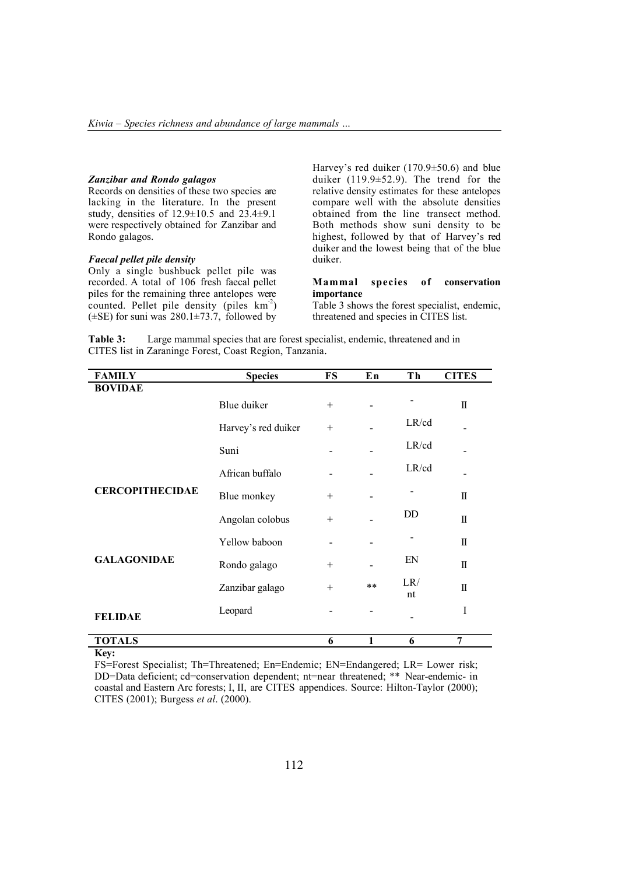#### *Zanzibar and Rondo galagos*

Records on densities of these two species are lacking in the literature. In the present study, densities of 12.9±10.5 and 23.4±9.1 were respectively obtained for Zanzibar and Rondo galagos.

## *Faecal pellet pile density*

Only a single bushbuck pellet pile was recorded. A total of 106 fresh faecal pellet piles for the remaining three antelopes were counted. Pellet pile density (piles  $km<sup>2</sup>$ )  $(\pm SE)$  for suni was 280.1 $\pm$ 73.7, followed by

Harvey's red duiker (170.9±50.6) and blue duiker (119.9±52.9). The trend for the relative density estimates for these antelopes compare well with the absolute densities obtained from the line transect method. Both methods show suni density to be highest, followed by that of Harvey's red duiker and the lowest being that of the blue duiker.

# Mammal species of conservation importance

Table 3 shows the forest specialist, endemic, threatened and species in CITES list.

Table 3: Large mammal species that are forest specialist, endemic, threatened and in CITES list in Zaraninge Forest, Coast Region, Tanzania.

| <b>Species</b>      | <b>FS</b> | En   | Th        | <b>CITES</b> |   |
|---------------------|-----------|------|-----------|--------------|---|
|                     |           |      |           |              |   |
| Blue duiker         | $^{+}$    |      |           | $\mathbf I$  |   |
| Harvey's red duiker | $^{+}$    |      | LR/cd     |              |   |
| Suni                |           |      | LR/cd     |              |   |
| African buffalo     |           |      | LR/cd     |              |   |
| Blue monkey         | $+$       |      |           | Π            |   |
| Angolan colobus     | $^{+}$    |      | DD        | $\Pi$        |   |
| Yellow baboon       |           |      |           | $\Pi$        |   |
| Rondo galago        | $^{+}$    |      | EN        | П            |   |
| Zanzibar galago     | $^{+}$    | $**$ | LR/<br>nt | $\mathbf{I}$ |   |
| Leopard             |           |      |           | I            |   |
|                     |           |      |           |              |   |
|                     |           | 6    | 1         | 6            | 7 |

## Key:

FS=Forest Specialist; Th=Threatened; En=Endemic; EN=Endangered; LR= Lower risk; DD=Data deficient; cd=conservation dependent; nt=near threatened; \*\* Near-endemic- in coastal and Eastern Arc forests; I, II, are CITES appendices. Source: Hilton-Taylor (2000); CITES (2001); Burgess *et al*. (2000).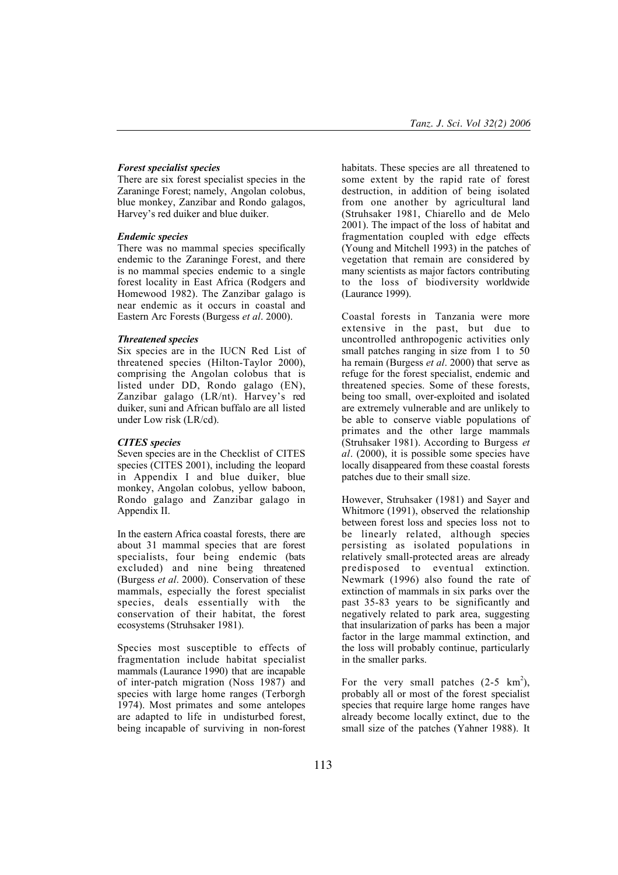## *Forest specialist species*

There are six forest specialist species in the Zaraninge Forest; namely, Angolan colobus, blue monkey, Zanzibar and Rondo galagos, Harvey's red duiker and blue duiker.

## *Endemic species*

There was no mammal species specifically endemic to the Zaraninge Forest, and there is no mammal species endemic to a single forest locality in East Africa (Rodgers and Homewood 1982). The Zanzibar galago is near endemic as it occurs in coastal and Eastern Arc Forests (Burgess *et al*. 2000).

## *Threatened species*

Six species are in the IUCN Red List of threatened species (Hilton-Taylor 2000), comprising the Angolan colobus that is listed under DD, Rondo galago (EN), Zanzibar galago (LR/nt). Harvey's red duiker, suni and African buffalo are all listed under Low risk (LR/cd).

## *CITES species*

Seven species are in the Checklist of CITES species (CITES 2001), including the leopard in Appendix I and blue duiker, blue monkey, Angolan colobus, yellow baboon, Rondo galago and Zanzibar galago in Appendix II.

In the eastern Africa coastal forests, there are about 31 mammal species that are forest specialists, four being endemic (bats excluded) and nine being threatened (Burgess *et al*. 2000). Conservation of these mammals, especially the forest specialist species, deals essentially with the conservation of their habitat, the forest ecosystems (Struhsaker 1981).

Species most susceptible to effects of fragmentation include habitat specialist mammals (Laurance 1990) that are incapable of inter-patch migration (Noss 1987) and species with large home ranges (Terborgh 1974). Most primates and some antelopes are adapted to life in undisturbed forest, being incapable of surviving in non-forest

habitats. These species are all threatened to some extent by the rapid rate of forest destruction, in addition of being isolated from one another by agricultural land (Struhsaker 1981, Chiarello and de Melo 2001). The impact of the loss of habitat and fragmentation coupled with edge effects (Young and Mitchell 1993) in the patches of vegetation that remain are considered by many scientists as major factors contributing to the loss of biodiversity worldwide (Laurance 1999).

Coastal forests in Tanzania were more extensive in the past, but due to uncontrolled anthropogenic activities only small patches ranging in size from 1 to 50 ha remain (Burgess *et al*. 2000) that serve as refuge for the forest specialist, endemic and threatened species. Some of these forests, being too small, over-exploited and isolated are extremely vulnerable and are unlikely to be able to conserve viable populations of primates and the other large mammals (Struhsaker 1981). According to Burgess *et al*. (2000), it is possible some species have locally disappeared from these coastal forests patches due to their small size.

However, Struhsaker (1981) and Sayer and Whitmore (1991), observed the relationship between forest loss and species loss not to be linearly related, although species persisting as isolated populations in relatively small-protected areas are already predisposed to eventual extinction. Newmark (1996) also found the rate of extinction of mammals in six parks over the past 35-83 years to be significantly and negatively related to park area, suggesting that insularization of parks has been a major factor in the large mammal extinction, and the loss will probably continue, particularly in the smaller parks.

For the very small patches  $(2-5 \text{ km}^2)$ , probably all or most of the forest specialist species that require large home ranges have already become locally extinct, due to the small size of the patches (Yahner 1988). It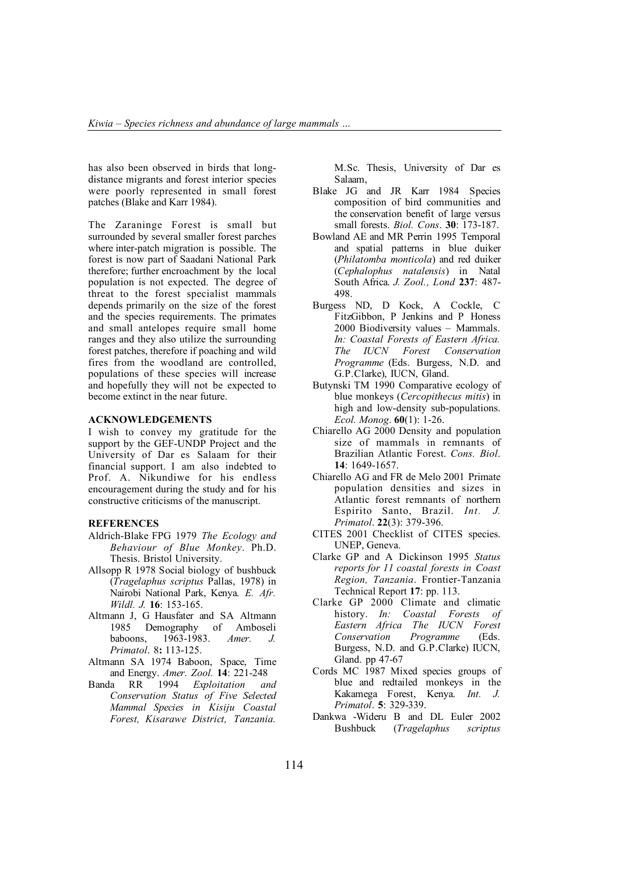has also been observed in birds that longdistance migrants and forest interior species were poorly represented in small forest patches (Blake and Karr 1984).

The Zaraninge Forest is small but surrounded by several smaller forest parches where inter-patch migration is possible. The forest is now part of Saadani National Park therefore; further encroachment by the local population is not expected. The degree of threat to the forest specialist mammals depends primarily on the size of the forest and the species requirements. The primates and small antelopes require small home ranges and they also utilize the surrounding forest patches, therefore if poaching and wild fires from the woodland are controlled, populations of these species will increase and hopefully they will not be expected to become extinct in the near future.

#### ACKNOWLEDGEMENTS

I wish to convey my gratitude for the support by the GEF-UNDP Project and the University of Dar es Salaam for their financial support. I am also indebted to Prof. A. Nikundiwe for his endless encouragement during the study and for his constructive criticisms of the manuscript.

#### **REFERENCES**

- Aldrich-Blake FPG 1979 *The Ecology and Behaviour of Blue Monkey*. Ph.D. Thesis. Bristol University.
- Allsopp R 1978 Social biology of bushbuck (*Tragelaphus scriptus* Pallas, 1978) in Nairobi National Park, Kenya. *E. Afr. Wildl. J.* 16: 153-165.
- Altmann J, G Hausfater and SA Altmann 1985 Demography of Amboseli baboons, 1963-1983. *Amer. J. Primatol*. 8: 113-125.
- Altmann SA 1974 Baboon, Space, Time and Energy. *Amer. Zool.* 14: 221-248
- Banda RR 1994 *Exploitation and Conservation Status of Five Selected Mammal Species in Kisiju Coastal Forest, Kisarawe District, Tanzania.*

M.Sc. Thesis, University of Dar es Salaam,

- Blake JG and JR Karr 1984 Species composition of bird communities and the conservation benefit of large versus small forests. *Biol. Cons*. 30: 173-187.
- Bowland AE and MR Perrin 1995 Temporal and spatial patterns in blue duiker (*Philatomba monticola*) and red duiker (*Cephalophus natalensis*) in Natal South Africa. *J. Zool., Lond* 237: 487- 498.
- Burgess ND, D Kock, A Cockle, C FitzGibbon, P Jenkins and P Honess 2000 Biodiversity values – Mammals. *In: Coastal Forests of Eastern Africa. The IUCN Forest Conservation Programme* (Eds. Burgess, N.D. and G.P.Clarke), IUCN, Gland.
- Butynski TM 1990 Comparative ecology of blue monkeys (*Cercopithecus mitis*) in high and low-density sub-populations. *Ecol. Monog*. 60(1): 1-26.
- Chiarello AG 2000 Density and population size of mammals in remnants of Brazilian Atlantic Forest. *Cons. Biol*. 14: 1649-1657.
- Chiarello AG and FR de Melo 2001 Primate population densities and sizes in Atlantic forest remnants of northern Espirito Santo, Brazil. *Int. J. Primatol*. 22(3): 379-396.
- CITES 2001 Checklist of CITES species. UNEP, Geneva.
- Clarke GP and A Dickinson 1995 *Status reports for 11 coastal forests in Coast Region, Tanzania*. Frontier-Tanzania Technical Report 17: pp. 113.
- Clarke GP 2000 Climate and climatic history. *In: Coastal Forests of Eastern Africa The IUCN Forest Conservation Programme* (Eds. Burgess, N.D. and G.P.Clarke) IUCN, Gland. pp 47-67
- Cords MC 1987 Mixed species groups of blue and redtailed monkeys in the Kakamega Forest, Kenya. *Int. J. Primatol*. 5: 329-339.
- Dankwa -Wideru B and DL Euler 2002 Bushbuck (*Tragelaphus scriptus*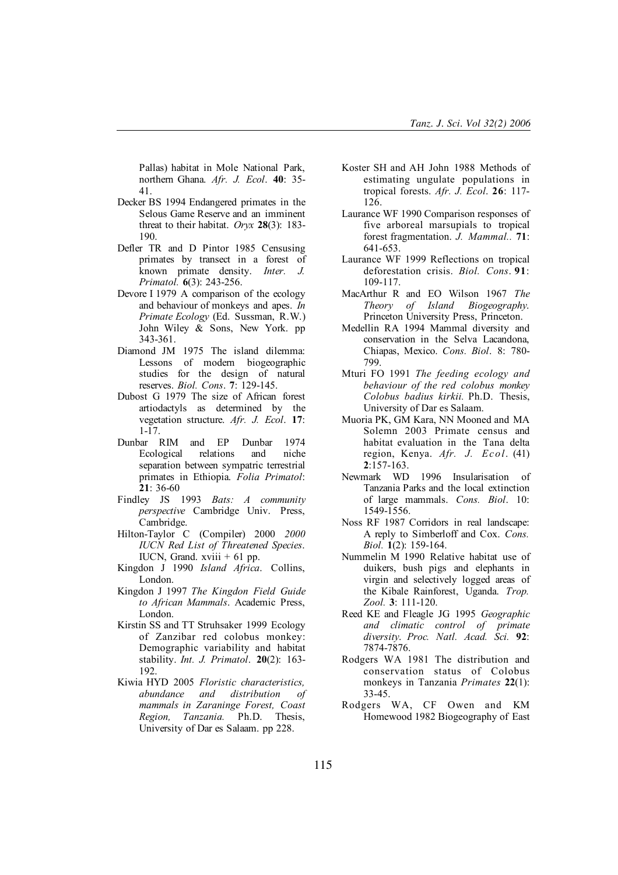Pallas) habitat in Mole National Park, northern Ghana. *Afr. J. Ecol*. 40: 35- 41.

- Decker BS 1994 Endangered primates in the Selous Game Reserve and an imminent threat to their habitat. *Oryx* 28(3): 183- 190.
- Defler TR and D Pintor 1985 Censusing primates by transect in a forest of known primate density. *Inter. J. Primatol.* 6(3): 243-256.
- Devore I 1979 A comparison of the ecology and behaviour of monkeys and apes. *In Primate Ecology* (Ed. Sussman, R.W.) John Wiley & Sons, New York. pp 343-361.
- Diamond JM 1975 The island dilemma: Lessons of modern biogeographic studies for the design of natural reserves. *Biol. Cons*. 7: 129-145.
- Dubost G 1979 The size of African forest artiodactyls as determined by the vegetation structure. *Afr. J. Ecol*. 17: 1-17.
- Dunbar RIM and EP Dunbar 1974 Ecological relations and niche separation between sympatric terrestrial primates in Ethiopia. *Folia Primatol*: 21: 36-60
- Findley JS 1993 *Bats: A community perspective* Cambridge Univ. Press, Cambridge.
- Hilton-Taylor C (Compiler) 2000 *2000 IUCN Red List of Threatened Species*. IUCN, Grand. xviii  $+61$  pp.
- Kingdon J 1990 *Island Africa*. Collins, London.
- Kingdon J 1997 *The Kingdon Field Guide to African Mammals*. Academic Press, London.
- Kirstin SS and TT Struhsaker 1999 Ecology of Zanzibar red colobus monkey: Demographic variability and habitat stability. *Int. J. Primatol*. 20(2): 163- 192.
- Kiwia HYD 2005 *Floristic characteristics, abundance and distribution of mammals in Zaraninge Forest, Coast Region, Tanzania.* Ph.D. Thesis, University of Dar es Salaam. pp 228.
- Koster SH and AH John 1988 Methods of estimating ungulate populations in tropical forests. *Afr. J. Ecol*. 26: 117- 126.
- Laurance WF 1990 Comparison responses of five arboreal marsupials to tropical forest fragmentation. *J. Mammal..* 71: 641-653.
- Laurance WF 1999 Reflections on tropical deforestation crisis. *Biol. Cons*. 91: 109-117.
- MacArthur R and EO Wilson 1967 *The Theory of Island Biogeography*. Princeton University Press, Princeton.
- Medellin RA 1994 Mammal diversity and conservation in the Selva Lacandona, Chiapas, Mexico. *Cons. Biol*. 8: 780- 799.
- Mturi FO 1991 *The feeding ecology and behaviour of the red colobus monkey Colobus badius kirkii.* Ph.D. Thesis, University of Dar es Salaam.
- Muoria PK, GM Kara, NN Mooned and MA Solemn 2003 Primate census and habitat evaluation in the Tana delta region, Kenya. *Afr. J. Ecol*. (41) 2:157-163.
- Newmark WD 1996 Insularisation of Tanzania Parks and the local extinction of large mammals. *Cons. Biol*. 10: 1549-1556.
- Noss RF 1987 Corridors in real landscape: A reply to Simberloff and Cox. *Cons. Biol.* 1(2): 159-164.
- Nummelin M 1990 Relative habitat use of duikers, bush pigs and elephants in virgin and selectively logged areas of the Kibale Rainforest, Uganda. *Trop. Zool.* 3: 111-120.
- Reed KE and Fleagle JG 1995 *Geographic and climatic control of primate diversity*. *Proc. Natl. Acad. Sci.* 92: 7874-7876.
- Rodgers WA 1981 The distribution and conservation status of Colobus monkeys in Tanzania *Primates* 22(1): 33-45.
- Rodgers WA, CF Owen and KM Homewood 1982 Biogeography of East